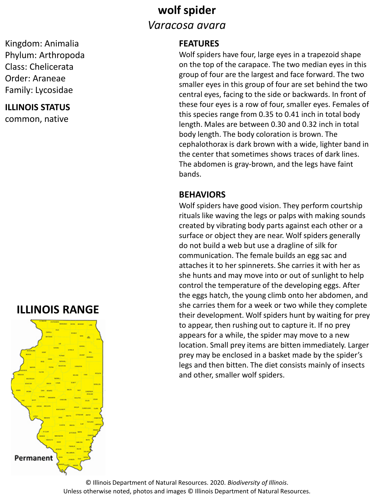## **wolf spider** *Varacosa avara*

#### Kingdom: Animalia Phylum: Arthropoda Class: Chelicerata Order: Araneae Family: Lycosidae

#### **ILLINOIS STATUS**

common, native

## **ILLINOIS RANGE**



#### **FEATURES**

Wolf spiders have four, large eyes in a trapezoid shape on the top of the carapace. The two median eyes in this group of four are the largest and face forward. The two smaller eyes in this group of four are set behind the two central eyes, facing to the side or backwards. In front of these four eyes is a row of four, smaller eyes. Females of this species range from 0.35 to 0.41 inch in total body length. Males are between 0.30 and 0.32 inch in total body length. The body coloration is brown. The cephalothorax is dark brown with a wide, lighter band in the center that sometimes shows traces of dark lines. The abdomen is gray-brown, and the legs have faint bands.

#### **BEHAVIORS**

Wolf spiders have good vision. They perform courtship rituals like waving the legs or palps with making sounds created by vibrating body parts against each other or a surface or object they are near. Wolf spiders generally do not build a web but use a dragline of silk for communication. The female builds an egg sac and attaches it to her spinnerets. She carries it with her as she hunts and may move into or out of sunlight to help control the temperature of the developing eggs. After the eggs hatch, the young climb onto her abdomen, and she carries them for a week or two while they complete their development. Wolf spiders hunt by waiting for prey to appear, then rushing out to capture it. If no prey appears for a while, the spider may move to a new location. Small prey items are bitten immediately. Larger prey may be enclosed in a basket made by the spider's legs and then bitten. The diet consists mainly of insects and other, smaller wolf spiders.

© Illinois Department of Natural Resources. 2020. *Biodiversity of Illinois*. Unless otherwise noted, photos and images © Illinois Department of Natural Resources.